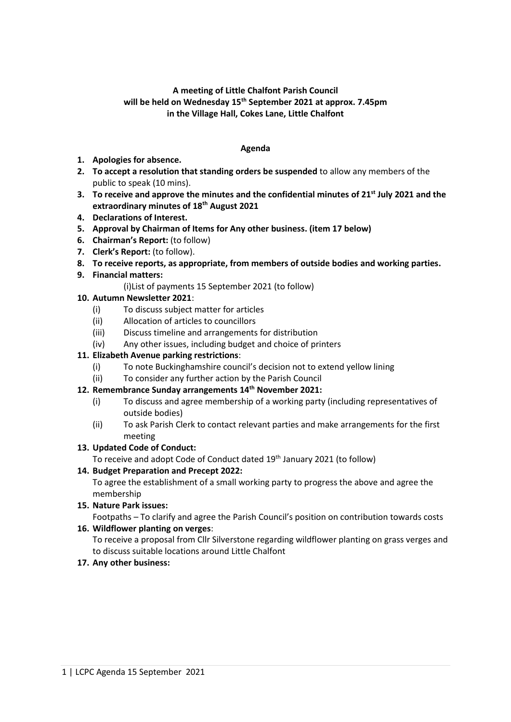# **A meeting of Little Chalfont Parish Council will be held on Wednesday 15th September 2021 at approx. 7.45pm in the Village Hall, Cokes Lane, Little Chalfont**

### **Agenda**

- **1. Apologies for absence.**
- **2. To accept a resolution that standing orders be suspended** to allow any members of the public to speak (10 mins).
- **3. To receive and approve the minutes and the confidential minutes of 21 st July 2021 and the extraordinary minutes of 18th August 2021**
- **4. Declarations of Interest.**
- **5. Approval by Chairman of Items for Any other business. (item 17 below)**
- **6. Chairman's Report:** (to follow)
- **7. Clerk's Report:** (to follow).
- **8. To receive reports, as appropriate, from members of outside bodies and working parties.**
- **9. Financial matters:** 
	- (i)List of payments 15 September 2021 (to follow)

### **10. Autumn Newsletter 2021**:

- (i) To discuss subject matter for articles
- (ii) Allocation of articles to councillors
- (iii) Discuss timeline and arrangements for distribution
- (iv) Any other issues, including budget and choice of printers

### **11. Elizabeth Avenue parking restrictions**:

- (i) To note Buckinghamshire council's decision not to extend yellow lining
- (ii) To consider any further action by the Parish Council

### **12. Remembrance Sunday arrangements 14th November 2021:**

- (i) To discuss and agree membership of a working party (including representatives of outside bodies)
- (ii) To ask Parish Clerk to contact relevant parties and make arrangements for the first meeting

### **13. Updated Code of Conduct:**

To receive and adopt Code of Conduct dated 19<sup>th</sup> January 2021 (to follow)

### **14. Budget Preparation and Precept 2022:**

To agree the establishment of a small working party to progress the above and agree the membership

**15. Nature Park issues:** 

Footpaths – To clarify and agree the Parish Council's position on contribution towards costs

### **16. Wildflower planting on verges**:

To receive a proposal from Cllr Silverstone regarding wildflower planting on grass verges and to discuss suitable locations around Little Chalfont

### **17. Any other business:**